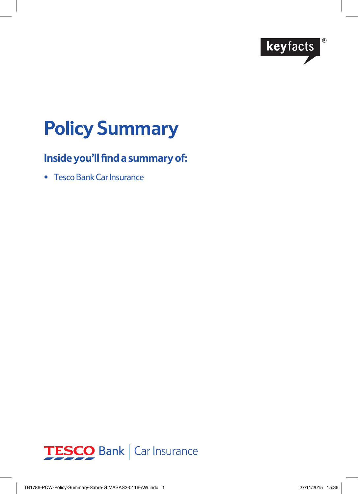

# **Policy Summary**

# **Inside you'll find a summary of:**

• Tesco Bank Car Insurance

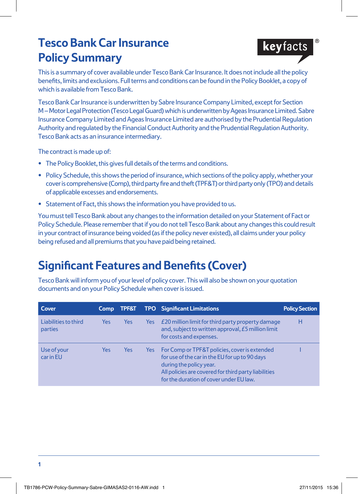# **Tesco Bank Car Insurance Policy Summary**



This is a summary of cover available under Tesco Bank Car Insurance. It does not include all the policy benefits, limits and exclusions. Full terms and conditions can be found in the Policy Booklet, a copy of which is available from Tesco Bank.

Tesco Bank Car Insurance is underwritten by Sabre Insurance Company Limited, except for Section M – Motor Legal Protection (Tesco Legal Guard) which is underwritten by Ageas Insurance Limited. Sabre Insurance Company Limited and Ageas Insurance Limited are authorised by the Prudential Regulation Authority and regulated by the Financial Conduct Authority and the Prudential Regulation Authority. Tesco Bank acts as an insurance intermediary.

The contract is made up of:

- **•** The Policy Booklet, this gives full details of the terms and conditions.
- **•** Policy Schedule, this shows the period of insurance, which sections of the policy apply, whether your cover is comprehensive (Comp), third party fire and theft (TPF&T) or third party only (TPO) and details of applicable excesses and endorsements.
- **•** Statement of Fact, this shows the information you have provided to us.

You must tell Tesco Bank about any changes to the information detailed on your Statement of Fact or Policy Schedule. Please remember that if you do not tell Tesco Bank about any changes this could result in your contract of insurance being voided (as if the policy never existed), all claims under your policy being refused and all premiums that you have paid being retained.

# **Significant Features and Benefits (Cover)**

Tesco Bank will inform you of your level of policy cover. This will also be shown on your quotation documents and on your Policy Schedule when cover is issued.

| Cover                           | <b>Comp</b> | <b>TPF&amp;T</b> |      | <b>TPO</b> Significant Limitations                                                                                                                                                                                            | <b>Policy Section</b> |
|---------------------------------|-------------|------------------|------|-------------------------------------------------------------------------------------------------------------------------------------------------------------------------------------------------------------------------------|-----------------------|
| Liabilities to third<br>parties | <b>Yes</b>  | Yes              | Yes  | £20 million limit for third party property damage<br>and, subject to written approval, £5 million limit<br>for costs and expenses.                                                                                            | н                     |
| Use of your<br>car in EU        | Yes         | Yes              | Yes: | For Comp or TPF&T policies, cover is extended<br>for use of the car in the EU for up to 90 days<br>during the policy year.<br>All policies are covered for third party liabilities<br>for the duration of cover under EU law. |                       |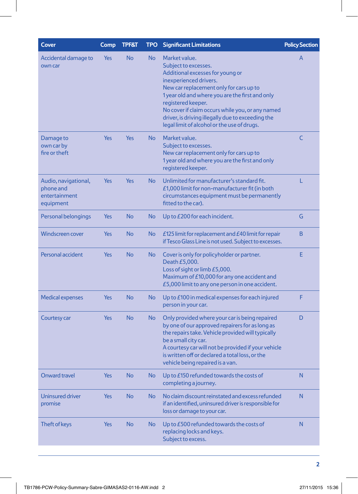| Cover                                                           | Comp | <b>TPF&amp;T</b> | <b>TPO</b> | <b>Significant Limitations</b>                                                                                                                                                                                                                                                                                                                                                  | <b>Policy Section</b> |
|-----------------------------------------------------------------|------|------------------|------------|---------------------------------------------------------------------------------------------------------------------------------------------------------------------------------------------------------------------------------------------------------------------------------------------------------------------------------------------------------------------------------|-----------------------|
| Accidental damage to<br>own car                                 | Yes  | <b>No</b>        | <b>No</b>  | Market value.<br>Subject to excesses.<br>Additional excesses for young or<br>inexperienced drivers.<br>New car replacement only for cars up to<br>1 year old and where you are the first and only<br>registered keeper.<br>No cover if claim occurs while you, or any named<br>driver, is driving illegally due to exceeding the<br>legal limit of alcohol or the use of drugs. | A                     |
| Damage to<br>own car by<br>fire or theft                        | Yes  | <b>Yes</b>       | <b>No</b>  | Market value.<br>Subject to excesses.<br>New car replacement only for cars up to<br>1 year old and where you are the first and only<br>registered keeper.                                                                                                                                                                                                                       | C                     |
| Audio, navigational,<br>phone and<br>entertainment<br>equipment | Yes  | <b>Yes</b>       | No         | Unlimited for manufacturer's standard fit.<br>£1,000 limit for non-manufacturer fit (in both<br>circumstances equipment must be permanently<br>fitted to the car).                                                                                                                                                                                                              | L                     |
| Personal belongings                                             | Yes  | <b>No</b>        | <b>No</b>  | Up to $E200$ for each incident.                                                                                                                                                                                                                                                                                                                                                 | G                     |
| <b>Windscreen cover</b>                                         | Yes  | <b>No</b>        | No         | $E$ 125 limit for replacement and $E$ 40 limit for repair<br>if Tesco Glass Line is not used. Subject to excesses.                                                                                                                                                                                                                                                              | B                     |
| Personal accident                                               | Yes  | <b>No</b>        | No         | Cover is only for policyholder or partner.<br>Death £5,000.<br>Loss of sight or limb £5,000.<br>Maximum of £10,000 for any one accident and<br>£5,000 limit to any one person in one accident.                                                                                                                                                                                  | Е                     |
| <b>Medical expenses</b>                                         | Yes  | <b>No</b>        | No         | Up to £100 in medical expenses for each injured<br>person in your car.                                                                                                                                                                                                                                                                                                          | F                     |
| Courtesy car                                                    | Yes  | <b>No</b>        | No         | Only provided where your car is being repaired<br>by one of our approved repairers for as long as<br>the repairs take. Vehicle provided will typically<br>be a small city car.<br>A courtesy car will not be provided if your vehicle<br>is written off or declared a total loss, or the<br>vehicle being repaired is a van.                                                    | D                     |
| <b>Onward travel</b>                                            | Yes  | <b>No</b>        | No         | Up to £150 refunded towards the costs of<br>completing a journey.                                                                                                                                                                                                                                                                                                               | N                     |
| Uninsured driver<br>promise                                     | Yes  | <b>No</b>        | <b>No</b>  | No claim discount reinstated and excess refunded<br>if an identified, uninsured driver is responsible for<br>loss or damage to your car.                                                                                                                                                                                                                                        | N                     |
| Theft of keys                                                   | Yes  | <b>No</b>        | No         | Up to £500 refunded towards the costs of<br>replacing locks and keys.<br>Subject to excess.                                                                                                                                                                                                                                                                                     | N                     |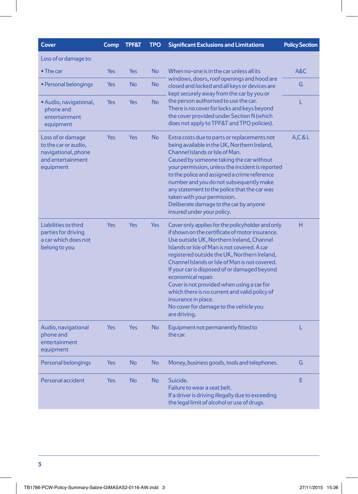| <b>Cover</b>                                                                                       | Comp       | <b>TPF&amp;T</b> | <b>TPO</b> | <b>Significant Exclusions and Limitations</b>                                                                                                                                                                                                                                                                                                                                                                                                                                                                                                            | <b>Policy Section</b> |
|----------------------------------------------------------------------------------------------------|------------|------------------|------------|----------------------------------------------------------------------------------------------------------------------------------------------------------------------------------------------------------------------------------------------------------------------------------------------------------------------------------------------------------------------------------------------------------------------------------------------------------------------------------------------------------------------------------------------------------|-----------------------|
| Loss of or damage to:                                                                              |            |                  |            |                                                                                                                                                                                                                                                                                                                                                                                                                                                                                                                                                          |                       |
| $\bullet$ The car                                                                                  | Yes        | Yes              | <b>No</b>  | When no-one is in the car unless all its<br>windows, doors, roof openings and hood are<br>closed and locked and all keys or devices are<br>kept securely away from the car by you or                                                                                                                                                                                                                                                                                                                                                                     | A&C                   |
| • Personal belongings                                                                              | Yes        | <b>No</b>        | No         |                                                                                                                                                                                                                                                                                                                                                                                                                                                                                                                                                          | G                     |
| • Audio, navigational,<br>phone and<br>entertainment<br>equipment                                  | <b>Yes</b> | <b>Yes</b>       | <b>No</b>  | the person authorised to use the car.<br>There is no cover for locks and keys beyond<br>the cover provided under Section N (which<br>does not apply to TPF&T and TPO policies).                                                                                                                                                                                                                                                                                                                                                                          | Ĺ                     |
| Loss of or damage<br>to the car or audio,<br>navigational, phone<br>and entertainment<br>equipment | Yes        | Yes              | <b>No</b>  | Extra costs due to parts or replacements not<br>being available in the UK, Northern Ireland,<br>Channel Islands or Isle of Man.<br>Caused by someone taking the car without<br>your permission, unless the incident is reported<br>to the police and assigned a crime reference<br>number and you do not subsequently make<br>any statement to the police that the car was<br>taken with your permission.<br>Deliberate damage to the car by anyone<br>insured under your policy.                                                                        | A, C & L              |
| Liabilities to third<br>parties for driving<br>a car which does not<br>belong to you               | Yes        | Yes              | <b>Yes</b> | Cover only applies for the policyholder and only<br>if shown on the certificate of motor insurance.<br>Use outside UK, Northern Ireland, Channel<br>Islands or Isle of Man is not covered. A car<br>registered outside the UK, Northern Ireland,<br>Channel Islands or Isle of Man is not covered.<br>If your car is disposed of or damaged beyond<br>economical repair.<br>Cover is not provided when using a car for<br>which there is no current and valid policy of<br>insurance in place.<br>No cover for damage to the vehicle you<br>are driving. | н                     |
| Audio, navigational<br>phone and<br>entertainment<br>equipment                                     | Yes        | <b>Yes</b>       | <b>No</b>  | Equipment not permanently fitted to<br>the car.                                                                                                                                                                                                                                                                                                                                                                                                                                                                                                          | L                     |
| Personal belongings                                                                                | Yes        | <b>No</b>        | No         | Money, business goods, tools and telephones.                                                                                                                                                                                                                                                                                                                                                                                                                                                                                                             | G                     |
| Personal accident                                                                                  | Yes        | <b>No</b>        | <b>No</b>  | Suicide.<br>Failure to wear a seat belt.<br>If a driver is driving illegally due to exceeding<br>the legal limit of alcohol or use of drugs.                                                                                                                                                                                                                                                                                                                                                                                                             | E                     |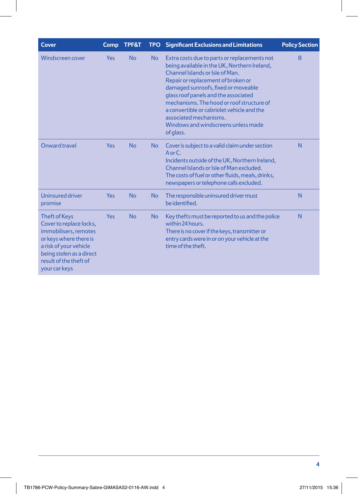| <b>Cover</b>                                                                                                                                                                                        | Comp | <b>TPF&amp;T</b> |           | <b>TPO</b> Significant Exclusions and Limitations                                                                                                                                                                                                                                                                                                                                                                             | <b>Policy Section</b> |
|-----------------------------------------------------------------------------------------------------------------------------------------------------------------------------------------------------|------|------------------|-----------|-------------------------------------------------------------------------------------------------------------------------------------------------------------------------------------------------------------------------------------------------------------------------------------------------------------------------------------------------------------------------------------------------------------------------------|-----------------------|
| <b>Windscreen cover</b>                                                                                                                                                                             | Yes  | <b>No</b>        | <b>No</b> | Extra costs due to parts or replacements not<br>being available in the UK, Northern Ireland,<br>Channel Islands or Isle of Man.<br>Repair or replacement of broken or<br>damaged sunroofs, fixed or moveable<br>glass roof panels and the associated<br>mechanisms. The hood or roof structure of<br>a convertible or cabriolet vehicle and the<br>associated mechanisms.<br>Windows and windscreens unless made<br>of glass. | B                     |
| Onward travel                                                                                                                                                                                       | Yes  | <b>No</b>        | <b>No</b> | Cover is subject to a valid claim under section<br>$A$ or $C$ .<br>Incidents outside of the UK, Northern Ireland,<br>Channel Islands or Isle of Man excluded.<br>The costs of fuel or other fluids, meals, drinks,<br>newspapers or telephone calls excluded.                                                                                                                                                                 | N                     |
| Uninsured driver<br>promise                                                                                                                                                                         | Yes  | <b>No</b>        | <b>No</b> | The responsible uninsured driver must<br>be identified.                                                                                                                                                                                                                                                                                                                                                                       | N                     |
| <b>Theft of Keys</b><br>Cover to replace locks,<br>immobilisers, remotes<br>or keys where there is<br>a risk of your vehicle<br>being stolen as a direct<br>result of the theft of<br>your car keys | Yes  | <b>No</b>        | <b>No</b> | Key thefts must be reported to us and the police<br>within 24 hours.<br>There is no cover if the keys, transmitter or<br>entry cards were in or on your vehicle at the<br>time of the theft.                                                                                                                                                                                                                                  | N                     |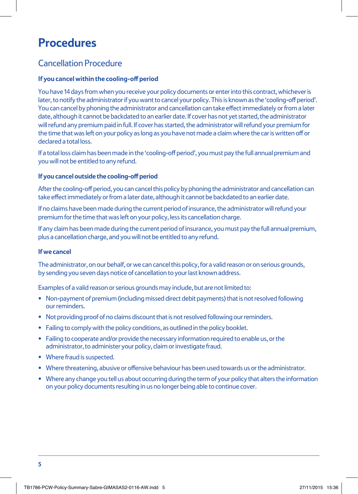# **Procedures**

### Cancellation Procedure

### **If you cancel within the cooling-off period**

You have 14 days from when you receive your policy documents or enter into this contract, whichever is later, to notify the administrator if you want to cancel your policy. This is known as the 'cooling-off period'. You can cancel by phoning the administrator and cancellation can take effect immediately or from a later date, although it cannot be backdated to an earlier date. If cover has not yet started, the administrator will refund any premium paid in full. If cover has started, the administrator will refund your premium for the time that was left on your policy as long as you have not made a claim where the car is written off or declared a total loss.

If a total loss claim has been made in the 'cooling-off period', you must pay the full annual premium and you will not be entitled to any refund.

#### **If you cancel outside the cooling-off period**

After the cooling-off period, you can cancel this policy by phoning the administrator and cancellation can take effect immediately or from a later date, although it cannot be backdated to an earlier date.

If no claims have been made during the current period of insurance, the administrator will refund your premium for the time that was left on your policy, less its cancellation charge.

If any claim has been made during the current period of insurance, you must pay the full annual premium, plus a cancellation charge, and you will not be entitled to any refund.

### **If we cancel**

The administrator, on our behalf, or we can cancel this policy, for a valid reason or on serious grounds, by sending you seven days notice of cancellation to your last known address.

Examples of a valid reason or serious grounds may include, but are not limited to:

- Non-payment of premium (including missed direct debit payments) that is not resolved following our reminders.
- Not providing proof of no claims discount that is not resolved following our reminders.
- Failing to comply with the policy conditions, as outlined in the policy booklet.
- Failing to cooperate and/or provide the necessary information required to enable us, or the administrator, to administer your policy, claim or investigate fraud.
- Where fraud is suspected.
- Where threatening, abusive or offensive behaviour has been used towards us or the administrator.
- Where any change you tell us about occurring during the term of your policy that alters the information on your policy documents resulting in us no longer being able to continue cover.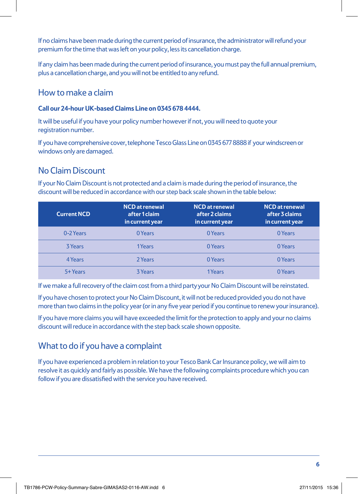If no claims have been made during the current period of insurance, the administrator will refund your premium for the time that was left on your policy, less its cancellation charge.

If any claim has been made during the current period of insurance, you must pay the full annual premium, plus a cancellation charge, and you will not be entitled to any refund.

### How to make a claim

#### **Call our 24-hour UK-based Claims Line on 0345 678 4444.**

It will be useful if you have your policy number however if not, you will need to quote your registration number.

If you have comprehensive cover, telephone Tesco Glass Line on 0345 677 8888 if your windscreen or windows only are damaged.

### No Claim Discount

If your No Claim Discount is not protected and a claim is made during the period of insurance, the discount will be reduced in accordance with our step back scale shown in the table below:

| <b>Current NCD</b> | <b>NCD</b> at renewal<br>after 1 claim<br>in current year | <b>NCD</b> at renewal<br>after 2 claims<br>in current year | <b>NCD</b> at renewal<br>after 3 claims<br>in current year |
|--------------------|-----------------------------------------------------------|------------------------------------------------------------|------------------------------------------------------------|
| 0-2 Years          | 0 Years                                                   | 0 Years                                                    | 0 Years                                                    |
| 3 Years            | 1Years                                                    | 0 Years                                                    | 0 Years                                                    |
| 4 Years            | 2 Years                                                   | 0 Years                                                    | 0 Years                                                    |
| 5+ Years           | <b>3 Years</b>                                            | 1 Years                                                    | 0 Years                                                    |

If we make a full recovery of the claim cost from a third party your No Claim Discount will be reinstated.

If you have chosen to protect your No Claim Discount, it will not be reduced provided you do not have more than two claims in the policy year (or in any five year period if you continue to renew your insurance).

If you have more claims you will have exceeded the limit for the protection to apply and your no claims discount will reduce in accordance with the step back scale shown opposite.

# What to do if you have a complaint

If you have experienced a problem in relation to your Tesco Bank Car Insurance policy, we will aim to resolve it as quickly and fairly as possible. We have the following complaints procedure which you can follow if you are dissatisfied with the service you have received.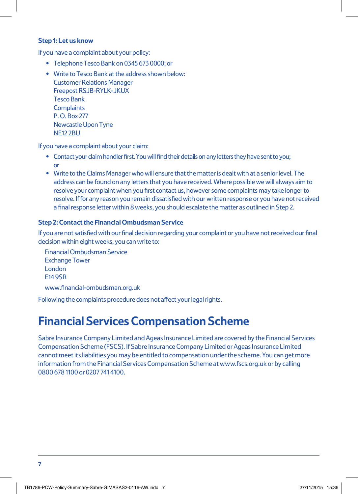#### **Step 1: Let us know**

If you have a complaint about your policy:

- Telephone Tesco Bank on 0345 673 0000; or
- Write to Tesco Bank at the address shown below: Customer Relations Manager Freepost RSJB-RYLK-JKUX Tesco Bank **Complaints** P. O. Box 277 Newcastle Upon Tyne NE12 2BU

If you have a complaint about your claim:

- Contact your claim handler first. You will find their details on any letters they have sent to you; or
- Write to the Claims Manager who will ensure that the matter is dealt with at a senior level. The address can be found on any letters that you have received. Where possible we will always aim to resolve your complaint when you first contact us, however some complaints may take longer to resolve. If for any reason you remain dissatisfied with our written response or you have not received a final response letter within 8 weeks, you should escalate the matter as outlined in Step 2.

#### **Step 2: Contact the Financial Ombudsman Service**

If you are not satisfied with our final decision regarding your complaint or you have not received our final decision within eight weeks, you can write to:

Financial Ombudsman Service Exchange Tower London E14 9SR www.financial-ombudsman.org.uk

Following the complaints procedure does not affect your legal rights.

# **Financial Services Compensation Scheme**

Sabre Insurance Company Limited and Ageas Insurance Limited are covered by the Financial Services Compensation Scheme (FSCS). If Sabre Insurance Company Limited or Ageas Insurance Limited cannot meet its liabilities you may be entitled to compensation under the scheme. You can get more information from the Financial Services Compensation Scheme at www.fscs.org.uk or by calling 0800 678 1100 or 0207 741 4100.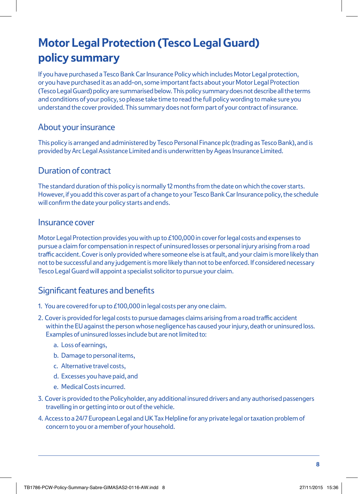# **Motor Legal Protection (Tesco Legal Guard) policy summary**

If you have purchased a Tesco Bank Car Insurance Policy which includes Motor Legal protection, or you have purchased it as an add-on, some important facts about your Motor Legal Protection (Tesco Legal Guard) policy are summarised below. This policy summary does not describe all the terms and conditions of your policy, so please take time to read the full policy wording to make sure you understand the cover provided. This summary does not form part of your contract of insurance.

### About your insurance

This policy is arranged and administered by Tesco Personal Finance plc (trading as Tesco Bank), and is provided by Arc Legal Assistance Limited and is underwritten by Ageas Insurance Limited.

### Duration of contract

The standard duration of this policy is normally 12 months from the date on which the cover starts. However, if you add this cover as part of a change to your Tesco Bank Car Insurance policy, the schedule will confirm the date your policy starts and ends.

### Insurance cover

Motor Legal Protection provides you with up to £100,000 in cover for legal costs and expenses to pursue a claim for compensation in respect of uninsured losses or personal injury arising from a road traffic accident. Cover is only provided where someone else is at fault, and your claim is more likely than not to be successful and any judgement is more likely than not to be enforced. If considered necessary Tesco Legal Guard will appoint a specialist solicitor to pursue your claim.

### Significant features and benefits

- 1. You are covered for up to £100,000 in legal costs per any one claim.
- 2. Cover is provided for legal costs to pursue damages claims arising from a road traffic accident within the EU against the person whose negligence has caused your injury, death or uninsured loss. Examples of uninsured losses include but are not limited to:
	- a. Loss of earnings,
	- b. Damage to personal items,
	- c. Alternative travel costs,
	- d. Excesses you have paid, and
	- e. Medical Costs incurred.
- 3. Cover is provided to the Policyholder, any additional insured drivers and any authorised passengers travelling in or getting into or out of the vehicle.
- 4. Access to a 24/7 European Legal and UK Tax Helpline for any private legal or taxation problem of concern to you or a member of your household.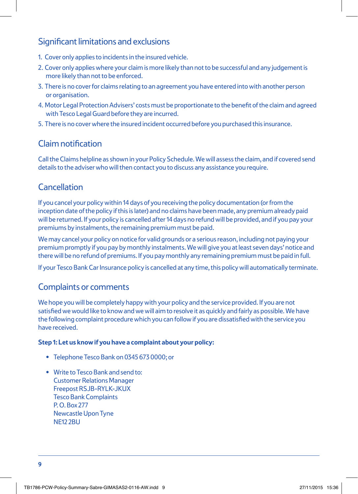### Significant limitations and exclusions

- 1. Cover only applies to incidents in the insured vehicle.
- 2. Cover only applies where your claim is more likely than not to be successful and any judgement is more likely than not to be enforced.
- 3. There is no cover for claims relating to an agreement you have entered into with another person or organisation.
- 4. Motor Legal Protection Advisers' costs must be proportionate to the benefit of the claim and agreed with Tesco Legal Guard before they are incurred.
- 5. There is no cover where the insured incident occurred before you purchased this insurance.

### Claim notification

Call the Claims helpline as shown in your Policy Schedule. We will assess the claim, and if covered send details to the adviser who will then contact you to discuss any assistance you require.

## **Cancellation**

If you cancel your policy within 14 days of you receiving the policy documentation (or from the inception date of the policy if this is later) and no claims have been made, any premium already paid will be returned. If your policy is cancelled after 14 days no refund will be provided, and if you pay your premiums by instalments, the remaining premium must be paid.

We may cancel your policy on notice for valid grounds or a serious reason, including not paying your premium promptly if you pay by monthly instalments. We will give you at least seven days' notice and there will be no refund of premiums. If you pay monthly any remaining premium must be paid in full.

If your Tesco Bank Car Insurance policy is cancelled at any time, this policy will automatically terminate.

### Complaints or comments

We hope you will be completely happy with your policy and the service provided. If you are not satisfied we would like to know and we will aim to resolve it as quickly and fairly as possible. We have the following complaint procedure which you can follow if you are dissatisfied with the service you have received.

### **Step 1: Let us know if you have a complaint about your policy:**

- Telephone Tesco Bank on 0345 673 0000; or
- Write to Tesco Bank and send to: Customer Relations Manager Freepost RSJB-RYLK-JKUX Tesco Bank Complaints P. O. Box 277 Newcastle Upon Tyne NE12 2BU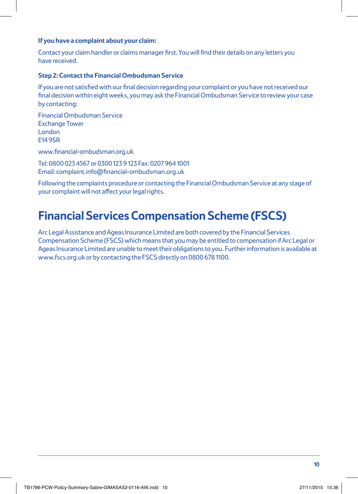#### **If you have a complaint about your claim:**

Contact your claim handler or claims manager first. You will find their details on any letters you have received.

#### **Step 2: Contact the Financial Ombudsman Service**

If you are not satisfied with our final decision regarding your complaint or you have not received our final decision within eight weeks, you may ask the Financial Ombudsman Service to review your case by contacting:

Financial Ombudsman Service Exchange Tower London E14 9SR

www.financial-ombudsman.org.uk

Tel: 0800 023 4567 or 0300 123 9 123 Fax: 0207 964 1001 Email: complaint.info@financial-ombudsman.org.uk

Following the complaints procedure or contacting the Financial Ombudsman Service at any stage of your complaint will not affect your legal rights.

# **Financial Services Compensation Scheme (FSCS)**

Arc Legal Assistance and Ageas Insurance Limited are both covered by the Financial Services Compensation Scheme (FSCS) which means that you may be entitled to compensation if Arc Legal or Ageas Insurance Limited are unable to meet their obligations to you. Further information is available at www.fscs.org.uk or by contacting the FSCS directly on 0800 678 1100.